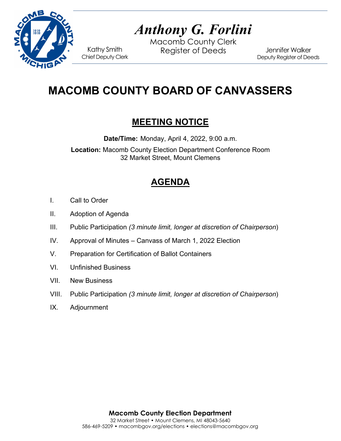

# *Anthony G. Forlini*

Macomb County Clerk Kathy Smith Register of Deeds<br>Chief Deputy Clerk

Jennifer Walker Deputy Register of Deeds

## **MACOMB COUNTY BOARD OF CANVASSERS**

### **MEETING NOTICE**

**Date/Time:** Monday, April 4, 2022, 9:00 a.m.

**Location:** Macomb County Election Department Conference Room 32 Market Street, Mount Clemens

## **AGENDA**

- I. Call to Order
- II. Adoption of Agenda
- III. Public Participation *(3 minute limit, longer at discretion of Chairperson*)
- IV. Approval of Minutes Canvass of March 1, 2022 Election
- V. Preparation for Certification of Ballot Containers
- VI. Unfinished Business
- VII. New Business
- VIII. Public Participation *(3 minute limit, longer at discretion of Chairperson*)
- IX. Adjournment